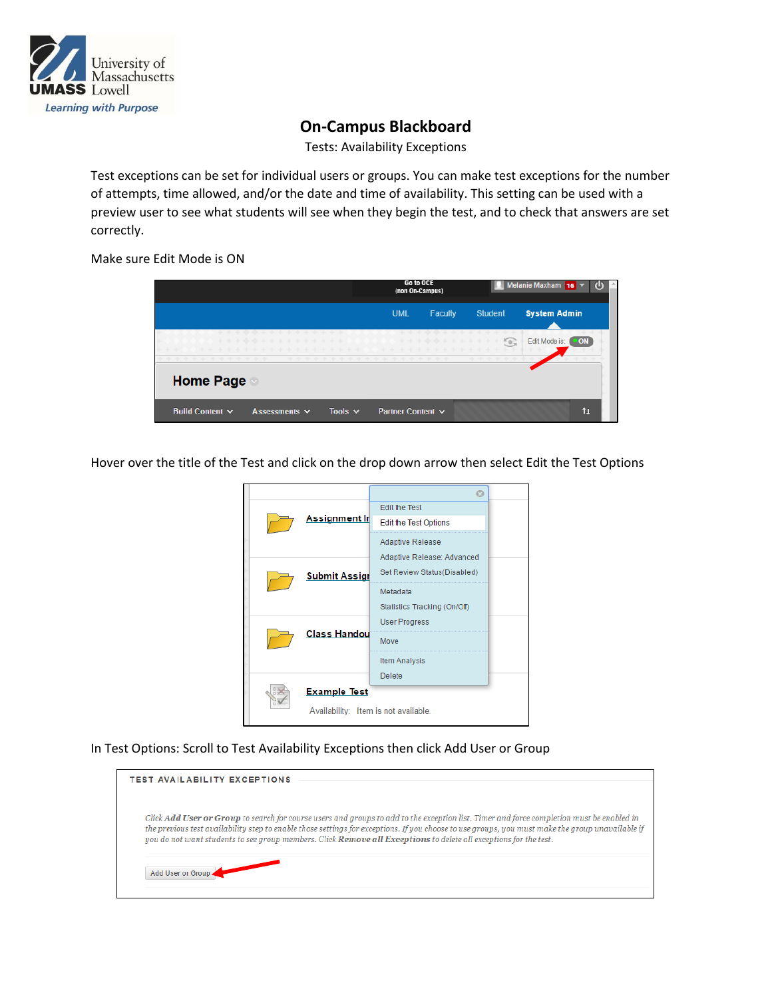

## **On-Campus Blackboard**

Tests: Availability Exceptions

Test exceptions can be set for individual users or groups. You can make test exceptions for the number of attempts, time allowed, and/or the date and time of availability. This setting can be used with a preview user to see what students will see when they begin the test, and to check that answers are set correctly.

## Make sure Edit Mode is ON

|                                                                         | <b>GO TO UCE</b><br>(non On-Campus) |         | Melanie Maxham 15   |                                  |
|-------------------------------------------------------------------------|-------------------------------------|---------|---------------------|----------------------------------|
|                                                                         | <b>UML</b>                          | Faculty | <b>Student</b>      | <b>System Admin</b>              |
| <b>Service</b><br>****<br>小小<br>*********<br>We del<br>小头<br>---<br>--- | $\omega_{\rm P}=\omega_{\rm P}$ .   |         | + +<br>Fol<br>***** | Edit Mode is:<br>ON <sub>®</sub> |
| <b>Home Page</b>                                                        |                                     |         |                     |                                  |
| Build Content $\sim$<br>Tools $\vee$<br>Assessments $\vee$              | Partner Content V                   |         |                     | 11                               |

Hover over the title of the Test and click on the drop down arrow then select Edit the Test Options

|                                                                       | Ω                                                                                    |  |  |  |
|-----------------------------------------------------------------------|--------------------------------------------------------------------------------------|--|--|--|
| Assignment Ir                                                         | <b>Edit the Test</b>                                                                 |  |  |  |
|                                                                       | <b>Edit the Test Options</b>                                                         |  |  |  |
| <b>Submit Assign</b>                                                  | <b>Adaptive Release</b><br>Adaptive Release: Advanced<br>Set Review Status(Disabled) |  |  |  |
|                                                                       | Metadata<br>Statistics Tracking (On/Off)                                             |  |  |  |
| <b>Class Handou</b>                                                   | <b>User Progress</b>                                                                 |  |  |  |
|                                                                       | Move                                                                                 |  |  |  |
|                                                                       | Item Analysis                                                                        |  |  |  |
| Delete<br><b>Example Test</b><br>Availability: Item is not available. |                                                                                      |  |  |  |

In Test Options: Scroll to Test Availability Exceptions then click Add User or Group

| <b>TEST AVAILABILITY EXCEPTIONS</b>                                                                                                                                                                                                                                                                                                                                                                                |
|--------------------------------------------------------------------------------------------------------------------------------------------------------------------------------------------------------------------------------------------------------------------------------------------------------------------------------------------------------------------------------------------------------------------|
|                                                                                                                                                                                                                                                                                                                                                                                                                    |
|                                                                                                                                                                                                                                                                                                                                                                                                                    |
| Click Add User or Group to search for course users and groups to add to the exception list. Timer and force completion must be enabled in<br>the previous test availability step to enable those settings for exceptions. If you choose to use groups, you must make the group unavailable if<br>you do not want students to see group members. Click Remove all Exceptions to delete all exceptions for the test. |
| Add User or Group                                                                                                                                                                                                                                                                                                                                                                                                  |